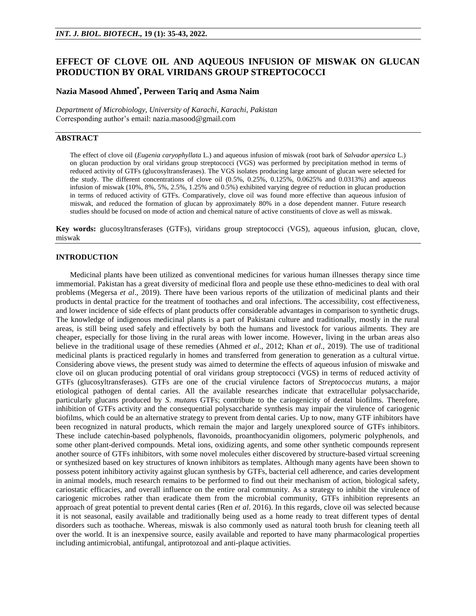# **EFFECT OF CLOVE OIL AND AQUEOUS INFUSION OF MISWAK ON GLUCAN PRODUCTION BY ORAL VIRIDANS GROUP STREPTOCOCCI**

# **Nazia Masood Ahmed\* , Perween Tariq and Asma Naim**

*Department of Microbiology, University of Karachi, Karachi, Pakistan* Corresponding author's email: nazia.masood@gmail.com

## **ABSTRACT**

The effect of clove oil (*Eugenia caryophyllata* L.) and aqueous infusion of miswak (root bark of *Salvador apersica* L.) on glucan production by oral viridans group streptococci (VGS) was performed by precipitation method in terms of reduced activity of GTFs (glucosyltransferases). The VGS isolates producing large amount of glucan were selected for the study. The different concentrations of clove oil  $(0.5\%, 0.25\%, 0.125\%, 0.0625\%$  and 0.0313%) and aqueous infusion of miswak (10%, 8%, 5%, 2.5%, 1.25% and 0.5%) exhibited varying degree of reduction in glucan production in terms of reduced activity of GTFs. Comparatively, clove oil was found more effective than aqueous infusion of miswak, and reduced the formation of glucan by approximately 80% in a dose dependent manner. Future research studies should be focused on mode of action and chemical nature of active constituents of clove as well as miswak.

**Key words:** glucosyltransferases (GTFs), viridans group streptococci (VGS), aqueous infusion, glucan, clove, miswak

## **INTRODUCTION**

Medicinal plants have been utilized as conventional medicines for various human illnesses therapy since time immemorial. Pakistan has a great diversity of medicinal flora and people use these ethno-medicines to deal with oral problems (Megersa *et al*., 2019). There have been various reports of the utilization of medicinal plants and their products in dental practice for the treatment of toothaches and oral infections. The accessibility, cost effectiveness, and lower incidence of side effects of plant products offer considerable advantages in comparison to synthetic drugs. The knowledge of indigenous medicinal plants is a part of Pakistani culture and traditionally, mostly in the rural areas, is still being used safely and effectively by both the humans and livestock for various ailments. They are cheaper, especially for those living in the rural areas with lower income. However, living in the urban areas also believe in the traditional usage of these remedies (Ahmed *et al*., 2012; Khan *et al*., 2019). The use of traditional medicinal plants is practiced regularly in homes and transferred from generation to generation as a cultural virtue. Considering above views, the present study was aimed to determine the effects of aqueous infusion of miswake and clove oil on glucan producing potential of oral viridans group streptococci (VGS) in terms of reduced activity of GTFs (glucosyltransferases). GTFs are one of the crucial virulence factors of *Streptococcus mutans*, a major etiological pathogen of dental caries. All the available researches indicate that extracellular polysaccharide, particularly glucans produced by *S*. *mutans* GTFs; contribute to the cariogenicity of dental biofilms. Therefore, inhibition of GTFs activity and the consequential polysaccharide synthesis may impair the virulence of cariogenic biofilms, which could be an alternative strategy to prevent from dental caries. Up to now, many GTF inhibitors have been recognized in natural products, which remain the major and largely unexplored source of GTFs inhibitors. These include catechin-based polyphenols, flavonoids, proanthocyanidin oligomers, polymeric polyphenols, and some other plant-derived compounds. Metal ions, oxidizing agents, and some other synthetic compounds represent another source of GTFs inhibitors, with some novel molecules either discovered by structure-based virtual screening or synthesized based on key structures of known inhibitors as templates. Although many agents have been shown to possess potent inhibitory activity against glucan synthesis by GTFs, bacterial cell adherence, and caries development in animal models, much research remains to be performed to find out their mechanism of action, biological safety, cariostatic efficacies, and overall influence on the entire oral community. As a strategy to inhibit the virulence of cariogenic microbes rather than eradicate them from the microbial community, GTFs inhibition represents an approach of great potential to prevent dental caries (Ren *et al*. 2016). In this regards, clove oil was selected because it is not seasonal, easily available and traditionally being used as a home ready to treat different types of dental disorders such as toothache. Whereas, miswak is also commonly used as natural tooth brush for cleaning teeth all over the world. It is an inexpensive source, easily available and reported to have many pharmacological properties including antimicrobial, antifungal, antiprotozoal and anti-plaque activities.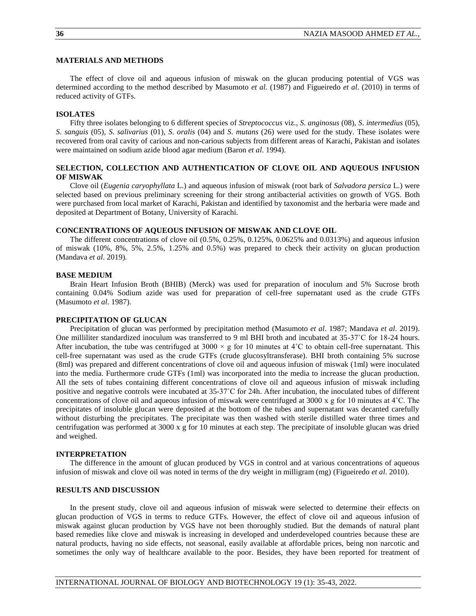## **MATERIALS AND METHODS**

The effect of clove oil and aqueous infusion of miswak on the glucan producing potential of VGS was determined according to the method described by Masumoto *et al*. (1987) and Figueiredo *et al*. (2010) in terms of reduced activity of GTFs.

#### **ISOLATES**

Fifty three isolates belonging to 6 different species of *Streptococcus* viz., *S*. *anginosus* (08), *S*. *intermedius* (05), *S*. *sanguis* (05), *S*. *salivarius* (01), *S*. *oralis* (04) and *S*. *mutans* (26) were used for the study. These isolates were recovered from oral cavity of carious and non-carious subjects from different areas of Karachi, Pakistan and isolates were maintained on sodium azide blood agar medium (Baron *et al*. 1994).

## **SELECTION, COLLECTION AND AUTHENTICATION OF CLOVE OIL AND AQUEOUS INFUSION OF MISWAK**

Clove oil (*Eugenia caryophyllata* L.) and aqueous infusion of miswak (root bark of *Salvadora persica* L.) were selected based on previous preliminary screening for their strong antibacterial activities on growth of VGS. Both were purchased from local market of Karachi, Pakistan and identified by taxonomist and the herbaria were made and deposited at Department of Botany, University of Karachi.

### **CONCENTRATIONS OF AQUEOUS INFUSION OF MISWAK AND CLOVE OIL**

The different concentrations of clove oil (0.5%, 0.25%, 0.125%, 0.0625% and 0.0313%) and aqueous infusion of miswak (10%, 8%, 5%, 2.5%, 1.25% and 0.5%) was prepared to check their activity on glucan production (Mandava *et al*. 2019).

#### **BASE MEDIUM**

Brain Heart Infusion Broth (BHIB) (Merck) was used for preparation of inoculum and 5% Sucrose broth containing 0.04% Sodium azide was used for preparation of cell-free supernatant used as the crude GTFs (Masumoto *et al*. 1987).

#### **PRECIPITATION OF GLUCAN**

Precipitation of glucan was performed by precipitation method (Masumoto *et al*. 1987; Mandava *et al*. 2019). One milliliter standardized inoculum was transferred to 9 ml BHI broth and incubated at 35-37°C for 18-24 hours. After incubation, the tube was centrifuged at  $3000 \times g$  for 10 minutes at 4°C to obtain cell-free supernatant. This cell-free supernatant was used as the crude GTFs (crude glucosyltransferase). BHI broth containing 5% sucrose (8ml) was prepared and different concentrations of clove oil and aqueous infusion of miswak (1ml) were inoculated into the media. Furthermore crude GTFs (1ml) was incorporated into the media to increase the glucan production. All the sets of tubes containing different concentrations of clove oil and aqueous infusion of miswak including positive and negative controls were incubated at 35-37˚C for 24h. After incubation, the inoculated tubes of different concentrations of clove oil and aqueous infusion of miswak were centrifuged at 3000 x g for 10 minutes at 4˚C. The precipitates of insoluble glucan were deposited at the bottom of the tubes and supernatant was decanted carefully without disturbing the precipitates. The precipitate was then washed with sterile distilled water three times and centrifugation was performed at 3000 x g for 10 minutes at each step. The precipitate of insoluble glucan was dried and weighed.

#### **INTERPRETATION**

The difference in the amount of glucan produced by VGS in control and at various concentrations of aqueous infusion of miswak and clove oil was noted in terms of the dry weight in milligram (mg) (Figueiredo *et al*. 2010).

### **RESULTS AND DISCUSSION**

In the present study, clove oil and aqueous infusion of miswak were selected to determine their effects on glucan production of VGS in terms to reduce GTFs. However, the effect of clove oil and aqueous infusion of miswak against glucan production by VGS have not been thoroughly studied. But the demands of natural plant based remedies like clove and miswak is increasing in developed and underdeveloped countries because these are natural products, having no side effects, not seasonal, easily available at affordable prices, being non narcotic and sometimes the only way of healthcare available to the poor. Besides, they have been reported for treatment of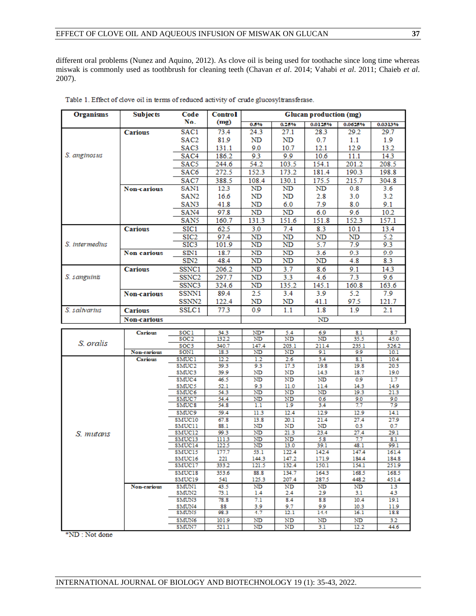different oral problems (Nunez and Aquino, 2012). As clove oil is being used for toothache since long time whereas miswak is commonly used as toothbrush for cleaning teeth (Chavan *et al*. 2014; Vahabi *et al*. 2011; Chaieb *et al*. 2007).

| <b>Organisms</b> | <b>Subjects</b>        | Code                       | <b>Control</b> |               |                        |                |                |                 |
|------------------|------------------------|----------------------------|----------------|---------------|------------------------|----------------|----------------|-----------------|
|                  |                        | No.                        | (mg)           | 0.5%          | 0.25%                  | 0.0125%        | 0.0625%        | 0.0313%         |
|                  | <b>Carious</b>         | SAC1                       | 73.4           | 24.3          | 27.1                   | 28.3           | 29.2           | 29.7            |
|                  |                        | SAC <sub>2</sub>           | 81.9           | ND            | ND                     | 0.7            | 1.1            | 1.9             |
|                  |                        | SAC3                       | 131.1          | 9.0           | 10.7                   | 12.1           | 12.9           | 13.2            |
| S. anginosus     |                        | SAC4                       | 186.2          | 93            | 9.9                    | 10.6           | 11.1           | 14.3            |
|                  |                        | SAC <sub>5</sub>           | 244.6          | 54.2          | 103.5                  | 154.1          | 201.2          | 208.5           |
|                  |                        | SAC6                       | 272.5          | 152.3         | 173.2                  | 181.4          | 190.3          | 198.8           |
|                  |                        | SAC7                       | 388.5          | 108.4         | 130.1                  | 175.5          | 215.7          | 304.8           |
|                  | Non-carious            | SAN1                       | 12.3           | ND            | ND                     | ND             | 0.8            | 3.6             |
|                  |                        | SAN <sub>2</sub>           | 16.6           | ND            | ${\rm ND}$             | 2.8            | 3.0            | 3.2             |
|                  |                        | SAN3                       | 41.8           | ND            | 6.0                    | 7.9            | 8.0            | 9.1             |
|                  |                        | SAN4                       | 97.8           | ND            | ND                     | 6.0            | 9.6            | 10.2            |
|                  |                        | SAN <sub>5</sub>           | 160.7          | 131.3         | 151.6                  | 151.8          | 152.3          | 157.1           |
|                  | <b>Carious</b>         | SIC <sub>1</sub>           | 62.5           | 3.0           | 7.4                    | 8.3            | 10.1           | 13.4            |
|                  |                        | SIC <sub>2</sub>           | 97.4           | ND            | ND                     | ND             | ND             | 5.2             |
| S. intermedius   |                        | SIC <sub>3</sub>           | 101.9          | ND            | ND                     | 5.7            | 7.9            | 9.3             |
|                  | <b>Non carious</b>     | SIN1                       | 18.7           | ND            | ND                     | 3.6            | 9.3            | 9.9             |
|                  |                        | SIN <sub>2</sub>           | 48.4           | ND            | ND                     | ND             | 4.8            | 8.3             |
|                  | <b>Carious</b>         | SSNC1                      | 206.2          | ND            | 3.7                    | 8.6            | 9.1            | 14.3            |
| S. sanguinis     |                        | SSNC <sub>2</sub>          | 297.7          | ND            | 3.3                    | 4.6            | 7.3            | 9.6             |
|                  |                        | SSNC3                      | 324.6          | ND            | 135.2                  | 145.1          | 160.8          | 163.6           |
|                  | Non-carious            | SSNN1                      | 89.4           | 2.5           | 3.4                    | 3.9            | 5.2            | 7.9             |
|                  |                        | SSNN <sub>2</sub>          | 122.4          | ND            | ND                     | 41.1           | 97.5           | 121.7           |
| S. salivarius    | <b>Carious</b>         | SSLC1                      | 77.3           | 0.9           | 1.1                    | 1.8            | 1.9            | 2.1             |
|                  | Non-carious            |                            |                |               |                        | ND             |                |                 |
|                  | <b>Carious</b>         | SOC <sub>1</sub>           | 34.3           | ND*           | 5.4                    | 69             | 8.1            | 8.7             |
|                  |                        | SOC <sub>2</sub>           | 132.2          | ND            | $\overline{\text{ND}}$ | ND             | 35.5           | 45.0            |
| S. oralis        |                        | SOC3                       | 340.7          | 147.4         | 203.1                  | 211.4          | 235.1          | 326.2           |
|                  | Non-carious<br>Carious | SONI<br>SMUC <sub>1</sub>  | 18.3<br>12.2   | ND<br>1.2     | ND                     | 9.1            | 9.9<br>8.1     | 10.1<br>10.4    |
|                  |                        | SMUC <sub>2</sub>          | 39.3           | 9.3           | 2.6<br>17.3            | 3.4<br>19.8    | 19.8           | 20.3            |
|                  |                        | SMUC3                      | 39.9           | ND            | ND                     | 14.3           | 18.7           | 19.0            |
|                  |                        | SMUC4                      | 46.5           | ND            | ND                     | ND             | 0.9            | 1.7             |
|                  |                        | SMUC5                      | 52.1           | 9.3           | 11.0                   | 11.4           | 14.3           | 14.9            |
|                  |                        | SMUC <sub>6</sub><br>SMUC7 | 54.3<br>54.4   | ND<br>ND      | ND<br>ND               | ND<br>0.6      | 19.3<br>9.0    | 21.3<br>9.0     |
|                  |                        | SMUC <sub>8</sub>          | 54.8           | 1.1           | 1.9                    | 3.4            | 7.7            | 79              |
|                  |                        | SMUC9                      | 59.4           | 11.3          | 12.4                   | 12.9           | 12.9           | 14.1            |
|                  |                        | SMUC10                     | 67.8           | 13.8          | 20.1                   | 21.4           | 27.4           | 27.9            |
|                  |                        | SMUC11                     | 88.1           | ND            | ND                     | ND             | 0.3            | 0.7             |
| S. mutans        |                        | SMUC12<br>SMUC13           | 99.3<br>1113   | ND<br>ND      | 21.3<br>ND             | 23.4<br>5.8    | 27.4<br>7.7    | 29.1<br>8.1     |
|                  |                        | SMUC14                     | 122.5          | ND            | 13.0                   | 39.1           | 48.1           | 99.1            |
|                  |                        | SMUC15                     | 177.7          | 53.1          | 122.4                  | 142.4          | 147.4          | 161.4           |
|                  |                        | SMUC16                     | 221            | 144.3         | 147.2                  | 171.9          | 184.4          | 184.8           |
|                  |                        | SMUC17                     | 333.2          | 121.5         | 132.4                  | 150.1          | 154.1          | 251.9           |
|                  |                        | SMUC18<br>SMUC19           | 353.6<br>541   | 88.8<br>125.3 | 134.7<br>207.4         | 164.3<br>287.5 | 168.5<br>448.2 | 168.5<br>451.4  |
|                  | <b>Non-carious</b>     | SMUN1                      | 43.5           | ND            | ND                     | ND             | ND             | 13 <sub>1</sub> |
|                  |                        | SMUN2                      | 73.1           | 1.4           | 2.4                    | 2.9            | 3.1            | 43              |
|                  |                        | SMUN3                      | 78.8           | 7.1           | 8.4                    | 8.8            | 10.4           | 19.1            |
|                  |                        | SMUN4<br>SMUN5             | 88<br>98.3     | 3.9<br>4.7    | 9.7<br>12.1            | 99.<br>14.4    | 10.3<br>16.1   | 11.9<br>18.8    |
|                  |                        | SMUN6                      | 101.9          | ND            | ND                     | ND             | ND             | 32              |
|                  |                        | SMUN7                      | 521.1          | ND            | ND                     | 3.1            | 12.2           | 44.6            |

|  |  |  |  |  |  | Table 1. Effect of clove oil in terms of reduced activity of crude glucosyltransferase. |
|--|--|--|--|--|--|-----------------------------------------------------------------------------------------|
|--|--|--|--|--|--|-----------------------------------------------------------------------------------------|

\*ND: Not done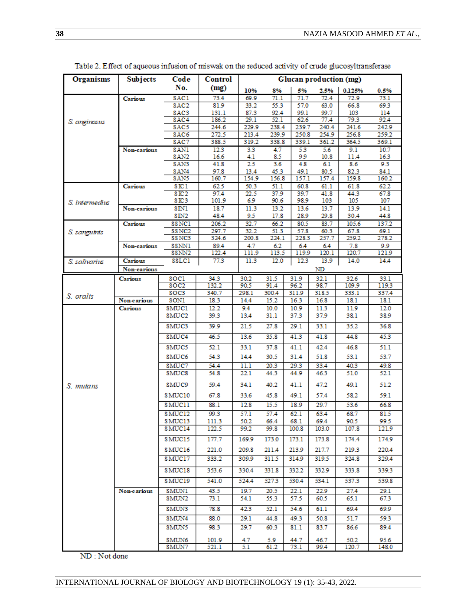| <b>Organisms</b>     | <b>Subjects</b>    | Code                      | <b>Control</b> |               |               |               | Glucan production (mg) |                |                |
|----------------------|--------------------|---------------------------|----------------|---------------|---------------|---------------|------------------------|----------------|----------------|
|                      |                    | No.                       | (mg)           | 10%           | 8%            | 5%            | 2.5%                   | 0.125%         | 0.5%           |
|                      | <b>Carious</b>     | SAC1                      | 73.4           | 69.9          | 71.1          | 71.7          | 72.4                   | 72.9           | 73.1           |
|                      |                    | SAC <sub>2</sub>          | 81.9           | 33.2          | 55.3          | 57.0          | 63.0                   | 66.8           | 69.3           |
|                      |                    | SAC3                      | 131.1          | 87.3          | 92.4          | 99.1          | 99.7                   | 103            | 114            |
| S. amginosus         |                    | SAC4<br>SAC <sub>5</sub>  | 186.2<br>244.6 | 29.1<br>229.9 | 52.1<br>238.4 | 62.6<br>239.7 | 77.4<br>240.4          | 79.3<br>241.6  | 92.4<br>242.9  |
|                      |                    | SAC6                      | 272.5          | 213.4         | 239.9         | 250.8         | 254.9                  | 256.8          | 259.2          |
|                      |                    | SAC7                      | 388.5          | 319.2         | 338.8         | 339.1         | 361.2                  | 364.5          | 369.1          |
|                      | <b>Non-carious</b> | SANI                      | 12.3           | 3.3           | 4.7           | 53            | 5.6                    | 9.1            | 10.7           |
|                      |                    | SAN <sub>2</sub>          | 16.6           | 4.1           | 8.5           | 99            | 10.8                   | 11.4           | 163            |
|                      |                    | SAN3                      | 41.8           | 2.5           | 3.6           | 4.8           | 6.1                    | 8.6            | 9.3            |
|                      |                    | SAN4<br>SAN5              | 97.8<br>160.7  | 13.4<br>154.9 | 45.3<br>156.8 | 49.1<br>157.1 | 80.5<br>157.4          | 82.3<br>159.8  | 84.1<br>160.2  |
|                      | <b>Carious</b>     | SIC1                      | 62.5           | 50.3          | 51.1          | 60.8          | 61.1                   | 61.8           | 62.2           |
|                      |                    | SIC <sub>2</sub>          | 97.4           | 22.5          | 37.9          | 39.7          | 41.8                   | 44.3           | 67.8           |
| S. intermedius       |                    | SIC <sub>3</sub>          | 101.9          | 6.9           | 90.6          | 98.9          | 103                    | 105            | 107            |
|                      | Non-carious        | SIN1                      | 18.7           | 11.3          | 13.2          | 13.6          | 13.7                   | 13.9           | 14.1           |
|                      | <b>Carious</b>     | SIN2<br>SS <sub>NC1</sub> | 48.4<br>206.2  | 9.5<br>32.7   | 17.8<br>66.2  | 28.9<br>80.5  | 29.8<br>83.7           | 30.4<br>105.6  | 44.8<br>137.2  |
| S. sanguinis         |                    | SSNC <sub>2</sub>         | 297.7          | 32.2          | 51.3          | 57.8          | 60.3                   | 67.8           | 69.1           |
|                      |                    | SSNC3                     | 324.6          | 200.8         | 224.1         | 228.3         | 257.7                  | 259.2          | 278.2          |
|                      | Non-carious        | SSNN1                     | 89.4           | 4.7           | 6.2           | 6.4           | 6.4                    | 7.8            | 9.9            |
|                      |                    | SSNN2                     | 122.4          | 111.9         | 113.5         | 119.9         | 120.1                  | 120.7          | 121.9          |
| S. salivarius        | <b>Carious</b>     | SSLC1                     | 77.3           | 11.3          | 12.0          | 12.3          | 13.9                   | 14.0           | 14.4           |
|                      | Non-carious        |                           |                |               |               |               | ND                     |                |                |
|                      | <b>Carious</b>     | <b>SOC1</b>               | 34.3           | 30.2          | 31.5          | 31.9          | 32.1                   | 32.6           | 33.1           |
|                      |                    | SOC <sub>2</sub><br>SOC3  | 132.2<br>340.7 | 90.5<br>298.1 | 91.4<br>300.4 | 96.2<br>311.9 | 98.7<br>318.5          | 109.9<br>333.1 | 119.3<br>337.4 |
| S. oralis            | Non-carious        | <b>SON1</b>               | 18.3           | 14.4          | 15.2          | 16.3          | 16.8                   | 18.1           | 18.1           |
|                      | <b>Carious</b>     | <b>SMUCI</b>              | 12.2           | 9.4           | 10.0          | 10.9          | 11.3                   | 11.9           | 12.0           |
|                      |                    | SMUC2                     | 39.3           | 13.4          | 31.1          | 37.3          | 37.9                   | 38.1           | 38.9           |
|                      |                    | SMUC3                     | 39.9           | 21.5          | 27.8          | 29.1          | 33.1                   | 35.2           | 36.8           |
|                      |                    | SMUC4                     | 46.5           | 13.6          | 35.8          | 41.3          | 41.8                   | 44.8           | 45.3           |
|                      |                    | SMUC5                     | 52.1           | 33.1          | 37.8          | 41.1          | 42.4                   | 46.8           | 51.1           |
|                      |                    | SMUC6                     | 54.3           | 14.4          | 30.5          | 31.4          | 51.8                   | 53.1           | 53.7           |
|                      |                    | SMUC7                     | 54.4           | 11.1          | 20.3          | 29.3          | 33.4                   | 40.3           | 49.8           |
|                      |                    | <b>SMUCS</b>              | 54.8           | 22.1          | 44.3          | 44.9          | 46.3                   | 51.0           | 52.1           |
| S. mutans            |                    | SMUC9                     | 59.4           | 34.1          | 40.2          | 41.1          | 47.2                   | 49.1           | 51.2           |
|                      |                    | S MUC10                   | 67.8           | 33.6          | 45.8          | 49.1          | 57.4                   | 58.2           | 59.1           |
|                      |                    | SMUC11                    | 88.1           | 12.8          | 15.5          | 18.9          | 29.7                   | 53.6           | 66.8           |
|                      |                    | SMUC12                    | 99.3           | 57.1          | 57.4          | 62.1          | 63.4                   | 68.7           | 81.5           |
|                      |                    | S MUC13                   | 111.3          | 50.2          | 66.4          | 68.1          | 69.4                   | 90.5           | 99.5           |
|                      |                    | SMUC14                    | 122.5          | 99.2          | 99.8          | 100.8         | 103.0                  | 107.8          | 121.9          |
|                      |                    | S MUC15                   | 177.7          | 169.9         | 173.0         | 173.1         | 173.8                  | 174.4          | 174.9          |
|                      |                    | S MUC16                   | 221.0          | 209.8         | 211.4         | 213.9         | 217.7                  | 219.3          | 220.4          |
|                      |                    | S MUC17                   | 333.2          | 309.9         | 311.5         | 314.9         | 319.5                  | 324.8          | 329.4          |
|                      |                    | S MUC18                   | 353.6          | 330.4         | 331.8         | 332.2         | 332.9                  | 333.8          | 339.3          |
|                      |                    | SMUC19                    | 541.0          | 524.4         | 527.3         | 530.4         | 534.1                  | 537.3          | 539.8          |
|                      | Non-carious        | <b>SMUNI</b>              | 43.5           | 19.7          | 20.5          | 22.1          | 22.9                   | 27.4           | 29.1           |
|                      |                    | SMUN2                     | 73.1           | 54.1          | 55.3          | 57.5          | 60.5                   | 65.1           | 67.3           |
|                      |                    | SMUN3                     | 78.8           | 42.3          | 52.1          | 54.6          | 61.1                   | 69.4           | 69.9           |
|                      |                    | SMUN4                     | 88.0           | 29.1          | 44.8          | 49.3          | 50.8                   | 51.7           | 59.3           |
|                      |                    | SMUN5                     | 98.3           | 29.7          | 60.3          | 81.1          | 83.7                   | 86.6           | 89.4           |
|                      |                    | SMUN6                     | 101.9          | 4.7           | 5.9           | 44.7          | 46.7                   | 50.2           | 95.6           |
| <b>ATTN: ATTN: 4</b> |                    | SMUN7                     | 521.1          | 5.1           | 61.2          | 73.1          | 99.4                   | 120.7          | 148.0          |

Table 2. Effect of aqueous infusion of miswak on the reduced activity of crude glucosyltransferase

ND: Not done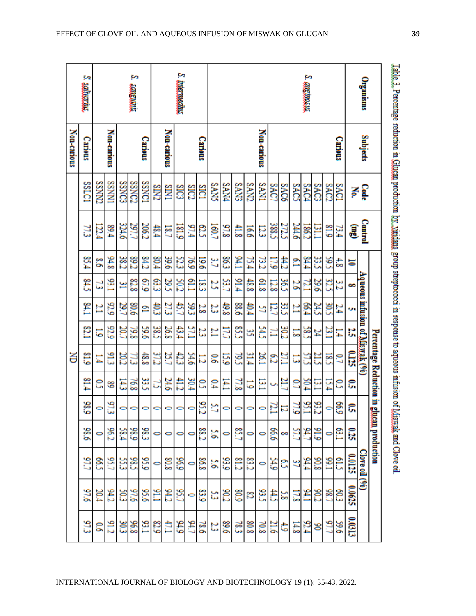|             | S. salvarius.  |                    |              |              | S<br>saveninis |                |             |             | S. intermedius. |             |                |          |             |             |             |             |                |             |            | S. anginosus. |               |                        |                |        | Organisms                       |                            |                                                                                            |
|-------------|----------------|--------------------|--------------|--------------|----------------|----------------|-------------|-------------|-----------------|-------------|----------------|----------|-------------|-------------|-------------|-------------|----------------|-------------|------------|---------------|---------------|------------------------|----------------|--------|---------------------------------|----------------------------|--------------------------------------------------------------------------------------------|
| Non-carious | <b>Carious</b> |                    | Non-carious  |              |                | <b>Carious</b> |             | Non-carious |                 |             | <b>Carious</b> |          |             |             |             | Non-carious |                |             |            |               |               |                        | <b>Carious</b> |        | Subjects                        |                            |                                                                                            |
|             | <b>SSLC1</b>   | <b>CNNSS</b>       | <b>SSNN1</b> | <b>SSNC3</b> | <b>SSNC2</b>   | <b>LONSS</b>   | <b>SIN2</b> | ξ           | នីន             | <b>SIC2</b> | <b>SIC1</b>    | SANS     | <b>SAN4</b> | <b>SANS</b> | <b>SAN2</b> | <b>INVS</b> | <b>SAC7</b>    | <b>SAC6</b> | <b>SAC</b> | SAC4          | SAC3          | <b>SAC2</b>            | SACI           |        | ្ថិត្ត<br>ត្                    |                            |                                                                                            |
|             | に              | $\overline{122.4}$ | 168          | 324.6        | 297.7          | 206.2          | 48.4        | 18.7        | $\frac{181}{2}$ | 17.16       | ξ,             | 160.7    | 97.8        | 41.8        | 16.6        | 123         | 3882           | 272.5       | 244.6      | 186.2         | E             | 81.9                   | 13.4           |        | Control<br>(mg)                 |                            |                                                                                            |
|             | 85.4           | ွိ                 | 8176         | នី           | 89.2           | 84.2           | 108         | 966         | ្ល              | 76.9        | 961            | ی.<br>تا | 8g          | <b>PALI</b> | 12.4        | 13.2        | 11,9           | 44.2        | ి          | 84.4          | ؾ             | Š9,                    | ្ល             | ᇹ      |                                 |                            |                                                                                            |
|             | E,             | ದ                  | 83.1         | یا           | 82.8           | 6/9            | 63.3        | 29.5        | 202             | Ê           | នី             | ಜ        | 53.7        | 91.4        | 48.8        | 61.8        | 12.8           | šč          | Z          | 21            | 29.6          | 32.5                   | ಼              | œ      |                                 |                            |                                                                                            |
|             | β4⊔            | ⊵                  | 92.9         | 29.7         | 908            | g              | 40.3        | 27.3        | 40.7            | 59.3        | ះ              | ಜ        | 49.8        | 88.6        | 40.4        | z           | E              | 쀥           | ≍          | 66.4          | F             | 30.5                   | ≍              | Ù,     |                                 |                            |                                                                                            |
|             | $^{82,1}$      | ಠ                  | 92.9         | 20.7         | 79.8           | 965            | 38.5        | 26.8        | 43.4            | ្អ          | ಜ              | Z        | 11.7        | ິຮູ         | ಜ           | č           | E              | 30.2        | ದ          | 582           | z             | 23.1                   | Ξ              | 25     |                                 |                            |                                                                                            |
| ĕ           | 81.9           | Ξ                  | ξ            | 20.2         | 忌              | 48.8           | 37.2        | 25.7        | 42              | 91FC        | ಧ              | ິຣ       | 139         | દે          | ħΕ          | 26.1        | S              | 27.1        | ದ          | 57.5          | ដូ            | $\overline{\text{ss}}$ | S              | 0.125  | Aqueous infusion of Misyrak (%) | Percentage Reduction in gl | そのです。また大多なのは本「ちゃくどとくこくようなのかない存在なのは、行っていて、そのことであることによっているのです。そのことですが、これはそのことによっているのです。 こうかい |
|             | 81.4           | ິວ                 | 8            | 품            | 76.8           | ؾ              | ಕ           | 24.6        | €               | 106         | င              | ₿        | Ħ           | 77.8        | 5           | Ξ           |                | Яľ          | S          | 10/4          | Ξ             | 154                    | င္ပ            | ៊      |                                 |                            |                                                                                            |
|             | 686            | 0                  | 97.3         | 0            | 0              | 0              | 0           | 0           | 0               | O           | 95.2           | S        | 0           | 0           | 0           | 0           | IJ,            | IJ          |            | $^{8}$        | 93.2          | $\circ$                | 699            | ៊      |                                 |                            |                                                                                            |
|             | 986            |                    | 802          | 184          | 686            | 83             |             | 0           |                 |             | 822            | ă        | 0           | 85.7        | 0           | 0           | 999            | œ           | ម          | Эł.           | $\frac{8}{2}$ |                        | <b>E3.1</b>    | 0.25   |                                 | ucan production            |                                                                                            |
|             | 57.7           | දී                 | 95.7         | ័្ល          | 98.5           | 63             | 0           | 808         | 696             | 0           | 80.8           | ă        | 93,9        | ឌះ          | 83.2        | 0           | $\frac{54}{2}$ | ි           | 브          | 1716          | 808           | 166                    | ៊              | 0.0125 | Clove oil (%)                   |                            |                                                                                            |
|             | 916            | 20.4               | 94,2         | ័្ល          | 97.6           | 92.6           | ěЦ          | 94.2        | 95.7            | 0           | 83.9           | ပ္ပ      | 90.2        | 608         | జ           | 93.5        | ŧ              | S.S         | 17.8       | 94.1          | 802           | 08.7                   | EW3            | 0.0625 |                                 |                            |                                                                                            |
|             | 87.3           | ິຣ                 | õГ           | នី           | 96.8           | 63.1           | 82.9        | 47.1        | 616             | 94.)        | 386            | ಜ        | 89.6        | និ          | 808         | 70.8        | 21.6           | 4.9         | 14.8       | 62.4          | g             | 97.7                   | 969            | 0.0313 |                                 |                            |                                                                                            |

Table 3. Percentage reduction in Glucan production by viridans group streptococci in response to aqueous infusion of Miswak and Clove of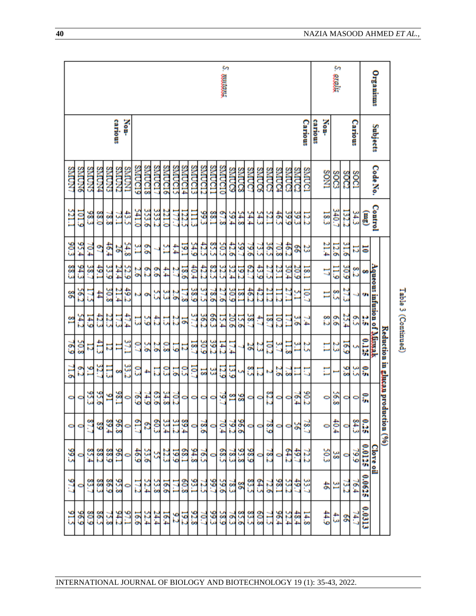|               |                  |                 |              |       |             |                  |               |             |               |                |         |                |               |               |                | S. nutans.     |          |                  |                |              |         |             |       |                   |                          |         |             | S. exelix   |                   |             |            | Organisms                  |                         |  |
|---------------|------------------|-----------------|--------------|-------|-------------|------------------|---------------|-------------|---------------|----------------|---------|----------------|---------------|---------------|----------------|----------------|----------|------------------|----------------|--------------|---------|-------------|-------|-------------------|--------------------------|---------|-------------|-------------|-------------------|-------------|------------|----------------------------|-------------------------|--|
|               |                  |                 |              |       | carious     | Non-             |               |             |               |                |         |                |               |               |                |                |          |                  |                |              |         |             |       |                   | <b>Carious</b>           | carious | Non-        |             |                   | Carious     |            | Subjects                   |                         |  |
| <b>SMUNIS</b> | <b>SMONS</b>     | SNOWS           | <b>SMONA</b> | SMOMS | anding      | <b>ENDNS</b>     | <b>SMUC19</b> | SIQUEIS     | SMUCIT        | <b>SILOUMS</b> | STOODNE | <b>FLOODNS</b> | <b>SMUCI3</b> | <b>SMUCI2</b> | <b>LIDQUES</b> | <b>QLOQUVS</b> | SMUCS    | SAUCS            | SMUC           | <b>SMUC6</b> | SMUCS   | SMUCA       | SMOCS | conus             | SMUCI                    |         | <b>SON1</b> | <b>SOC3</b> | coos              | <b>SOC1</b> |            | Code No.                   |                         |  |
| rizc          | 6 10 I           | 883             | 0.88         | 8.87  | g           | đ,               | 0.115         | 353.6       | 333.2         | 221.0          |         | 32.            | 툐             | 99.3          | <b>E88.1</b>   | 8'19           | 59.4     | $\frac{24.8}{2}$ | <b>ALA</b>     | č            | ă.      | 46.5        | 39.9  | 39.3              | 12,2                     |         | នឹ          | 340.7       | 132.2             | يم<br>م     | 圓          | Control                    |                         |  |
| 506           | 95.4             | 70.4            | ۵            | 16.4  | ×           | $\frac{24.8}{2}$ | Ĕ             | $\tilde{9}$ |               | ĭ              | t,      | 51             | 54.9          | 42.5          | 55.5           | 50.5           | 42.6     | 29.7             | 964            | š            | 56.5    | 70.8        | 46.2  | g                 | ಜ                        |         | 21.4        | 12.6        | 31.6              | 5           | ᇹ          |                            |                         |  |
| 88.3          | 84.3             | 38.7            | t 6          | 83.9  | ИA          | 52.9             | ζá            | ិ           | $\frac{9}{9}$ | 44             |         | 931            | 10,4          | 42.2          | 82.5           | 32.5           | 32.4     | 19.2             | C <sub>2</sub> | 43.9         |         | 23.1        | 30.4  | $\frac{20.9}{20}$ | $\overline{\phantom{0}}$ |         | 5           | 5           | $\frac{30.9}{20}$ | ះ           | 8          |                            |                         |  |
| g             | 26.2             | 5               | 4            | 303   | 21.4        | 49.2             |               | Ö           | ័             | مبا<br>منا     | ្ត      | 7.3            | 38.9          | 57.5          | $^{18.6}$      | 27.6           | 90.9     | Γ81              | 16.2           | 42.2         |         |             |       |                   | Ξ                        |         | E           | ိ           | ςuτ               |             | ÷          |                            |                         |  |
| r             | ZИZ              | 14.9            | ŧ,           | ະແ    | 17.3        | #L'A             | ದ             | ្ង          | t             | U              |         | 능              | ă.            | 56.2          | 503            | 15.4           | 20.6     | 931              | 58.7           | A            | E.      | I0.2        | E     | š                 | 74                       |         | ះ           | $\tilde{e}$ | 25.4              | ి           | ă          | Aqueous infusion of Miswak |                         |  |
| 6.91          | $\frac{8}{20.8}$ | 5               |              | 5     |             | ័                | S             | ă           | 2.6           | ្ល             | ្ច      | 5              | ē             | 30.9          | 39.2           | 14.2           | FШ       |                  | ×              | ដ            | ΣOΙ     | č           | E     |                   | ೮                        |         | E           | ៊           | 591               |             | 0.125      |                            | Reduction in glucan pro |  |
| 5             | ៓                | ۲ő              | ă            |       | œ           | ឌីរ              | ្ល            | ₽           | 5             | ៓              | 91      | ៓              | ē             | 늟             | ă              | 53             | 13,9     |                  | ៓              | w            |         | $\tilde{s}$ | ្ជ    |                   | 5                        |         | Ę           |             | $\frac{8}{9}$     | ؾ           | ្ល         |                            |                         |  |
| 0             | c                | SS <sub>0</sub> | 92.6         | వ     | <b>S8.1</b> | 0                | 76.9          | 74.9        | 63.6          | 34.8           | 70.2    | 0              | 0             | 0             | 0              | ۶              | m        | S                | c              | 0            | S.      | 0           | c     | 194               | 50.2                     |         | c           | 56.8        | 0                 | 0           | ្ល         |                            |                         |  |
| c             |                  | 57.7            | S            | 1.68  | 896         | 0                | L'19          | ని          | 603           | 33.4           | ی<br>آ  | 1768           | 0             | 9.87          | c              | 70.4           | 79.2     | 996              | o              | 0            | 681     | 0           | c     | ă                 | $^{18}$                  |         | 0           | 40.4        | $\circ$           | $5+3$       | <b>SEP</b> |                            | duction (%)             |  |
| 566           |                  | 85.4            | 28.2         | 6.88  | <b>P6.1</b> | 0                | 6.91          | 33.6        | Y,            | 22.3           | 661     | ិនៈ            | 818           | ξ9Ľ           | 0              | 582            | 183      | 83.8             | 636            | 0            | $^{22}$ | 0           | 64.2  | 49.7              | 52                       |         | នី          | 쓺           | 0                 | 79,9        | 0.0125     | Clove oil                  |                         |  |
| L'16          |                  | <b>CSS</b>      | 88.3         | 698   | 82.8        | 0                | E             | 52.4        | និង           | 9.91           |         | 803            | rs6           | 52            | 58.7           | 9.65           | င်္ဂီ    | g                | SS.S           | 54.5         | 97.     | <b>ESS</b>  | 32,2  | 49.7              | 33.7                     |         | ま           |             | 53                | 6.4         | 0.0625     |                            |                         |  |
| 516           | 696              | 6.08            | 58           | 831   | С16         | 97.1             | 9.91          | 52.4        | 24.4          | 16.4           | ះ       | 7.61           | 92.8          | ΣØ            | 566            | 58.9           | رو<br>په | 85.6             | SS.S           | 60.8         | ξĽ      | 96.4        | 52.4  | 48.4              | 14.8                     |         | 44.9        | مح          | g                 | Ĕ           | 0.0313     |                            |                         |  |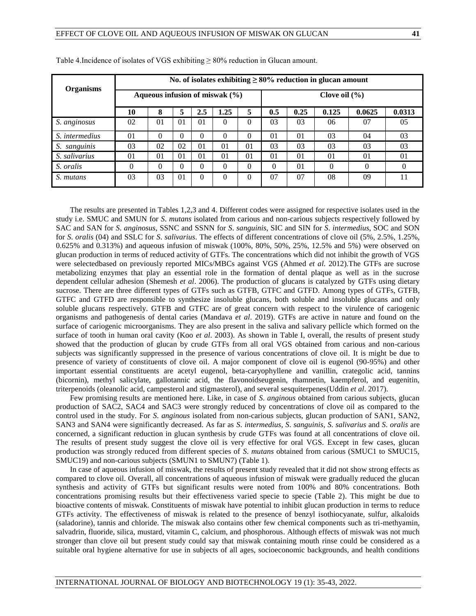| <b>Organisms</b> |          | No. of isolates exhibiting $\geq 80\%$ reduction in glucan amount |                |          |                                    |          |                   |      |                |        |                |  |  |  |  |  |
|------------------|----------|-------------------------------------------------------------------|----------------|----------|------------------------------------|----------|-------------------|------|----------------|--------|----------------|--|--|--|--|--|
|                  |          |                                                                   |                |          | Aqueous infusion of miswak $(\% )$ |          | Clove oil $(\% )$ |      |                |        |                |  |  |  |  |  |
|                  | 10       | 8                                                                 | 5              | 2.5      | 1.25                               | 5        | 0.5               | 0.25 | 0.125          | 0.0625 | 0.0313         |  |  |  |  |  |
| S. anginosus     | 02       | $\Omega$                                                          | 0 <sub>1</sub> | 01       | $\Omega$                           | $\Omega$ | 03                | 03   | 06             | 07     | 05             |  |  |  |  |  |
| S. intermedius   | 01       | $\Omega$                                                          | 0              | 0        | $\Omega$                           | $\Omega$ | 0 <sub>1</sub>    | 01   | 03             | 04     | 03             |  |  |  |  |  |
| S. sanguinis     | 03       | 02                                                                | 02             | 01       | 0 <sub>1</sub>                     | 01       | 03                | 03   | 03             | 03     | 03             |  |  |  |  |  |
| S. salivarius    | 01       | 0 <sub>1</sub>                                                    | 01             | 01       | 0 <sub>1</sub>                     | 01       | 01                | 01   | 0 <sub>1</sub> | 01     | 0 <sub>1</sub> |  |  |  |  |  |
| S. oralis        | $\theta$ | $\Omega$                                                          | $\Omega$       | $\Omega$ | $\Omega$                           | $\Omega$ | 0                 | 01   | $\Omega$       | 0      | $\theta$       |  |  |  |  |  |
| S. mutans        | 03       | 03                                                                | 0 <sub>1</sub> | $\Omega$ | $\Omega$                           | $\Omega$ | 07                | 07   | 08             | 09     | 11             |  |  |  |  |  |

Table 4.Incidence of isolates of VGS exhibiting  $\geq 80\%$  reduction in Glucan amount.

The results are presented in Tables 1,2,3 and 4. Different codes were assigned for respective isolates used in the study i.e. SMUC and SMUN for *S*. *mutans* isolated from carious and non-carious subjects respectively followed by SAC and SAN for *S*. *anginosus*, SSNC and SSNN for *S*. *sanguinis*, SIC and SIN for *S*. *intermedius*, SOC and SON for *S*. *oralis* (04) and SSLC for *S*. *salivarius*. The effects of different concentrations of clove oil (5%, 2.5%, 1.25%, 0.625% and 0.313%) and aqueous infusion of miswak (100%, 80%, 50%, 25%, 12.5% and 5%) were observed on glucan production in terms of reduced activity of GTFs. The concentrations which did not inhibit the growth of VGS were selectedbased on previously reported MICs/MBCs against VGS (Ahmed *et al*. 2012).The GTFs are sucrose metabolizing enzymes that play an essential role in the formation of dental plaque as well as in the sucrose dependent cellular adhesion (Shemesh *et al*. 2006). The production of glucans is catalyzed by GTFs using dietary sucrose. There are three different types of GTFs such as GTFB, GTFC and GTFD. Among types of GTFs, GTFB, GTFC and GTFD are responsible to synthesize insoluble glucans, both soluble and insoluble glucans and only soluble glucans respectively. GTFB and GTFC are of great concern with respect to the virulence of cariogenic organisms and pathogenesis of dental caries (Mandava *et al*. 2019). GTFs are active in nature and found on the surface of cariogenic microorganisms. They are also present in the saliva and salivary pellicle which formed on the surface of tooth in human oral cavity (Koo *et al*. 2003). As shown in Table I, overall, the results of present study showed that the production of glucan by crude GTFs from all oral VGS obtained from carious and non-carious subjects was significantly suppressed in the presence of various concentrations of clove oil. It is might be due to presence of variety of constituents of clove oil. A major component of clove oil is eugenol (90-95%) and other important essential constituents are acetyl eugenol, beta-caryophyllene and vanillin, crategolic acid, tannins (bicornin), methyl salicylate, gallotannic acid, the flavonoidseugenin, rhamnetin, kaempferol, and eugenitin, triterpenoids (oleanolic acid, campesterol and stigmasterol), and several sesquiterpenes(Uddin *et al*. 2017).

Few promising results are mentioned here. Like, in case of *S*. *anginous* obtained from carious subjects, glucan production of SAC2, SAC4 and SAC3 were strongly reduced by concentrations of clove oil as compared to the control used in the study. For *S*. *anginous* isolated from non-carious subjects, glucan production of SAN1, SAN2, SAN3 and SAN4 were significantly decreased. As far as *S*. *intermedius*, *S*. *sanguinis*, *S*. *salivarius* and *S*. *oralis* are concerned, a significant reduction in glucan synthesis by crude GTFs was found at all concentrations of clove oil. The results of present study suggest the clove oil is very effective for oral VGS. Except in few cases, glucan production was strongly reduced from different species of *S*. *mutans* obtained from carious (SMUC1 to SMUC15, SMUC19) and non-carious subjects (SMUN1 to SMUN7) (Table 1).

In case of aqueous infusion of miswak, the results of present study revealed that it did not show strong effects as compared to clove oil. Overall, all concentrations of aqueous infusion of miswak were gradually reduced the glucan synthesis and activity of GTFs but significant results were noted from 100% and 80% concentrations. Both concentrations promising results but their effectiveness varied specie to specie (Table 2). This might be due to bioactive contents of miswak. Constituents of miswak have potential to inhibit glucan production in terms to reduce GTFs activity. The effectiveness of miswak is related to the presence of benzyl isothiocyanate, sulfur, alkaloids (saladorine), tannis and chloride. The miswak also contains other few chemical components such as tri-methyamin, salvadrin, fluoride, silica, mustard, vitamin C, calcium, and phosphorous. Although effects of miswak was not much stronger than clove oil but present study could say that miswak containing mouth rinse could be considered as a suitable oral hygiene alternative for use in subjects of all ages, socioeconomic backgrounds, and health conditions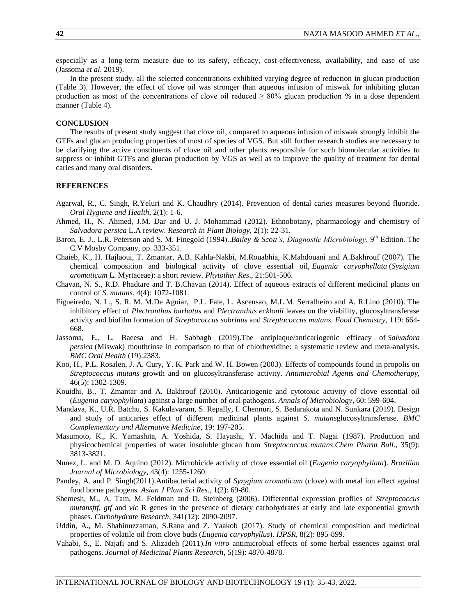especially as a long-term measure due to its safety, efficacy, cost-effectiveness, availability, and ease of use (Jassoma *et al*. 2019).

In the present study, all the selected concentrations exhibited varying degree of reduction in glucan production (Table 3). However, the effect of clove oil was stronger than aqueous infusion of miswak for inhibiting glucan production as most of the concentrations of clove oil reduced  $\geq 80\%$  glucan production % in a dose dependent manner (Table 4).

## **CONCLUSION**

The results of present study suggest that clove oil, compared to aqueous infusion of miswak strongly inhibit the GTFs and glucan producing properties of most of species of VGS. But still further research studies are necessary to be clarifying the active constituents of clove oil and other plants responsible for such biomolecular activities to suppress or inhibit GTFs and glucan production by VGS as well as to improve the quality of treatment for dental caries and many oral disorders.

#### **REFERENCES**

- Agarwal, R., C. Singh, R.Yeluri and K. Chaudhry (2014). Prevention of dental caries measures beyond fluoride. *Oral Hygiene and Health*, 2(1): 1-6.
- Ahmed, H., N. Ahmed, J.M. Dar and U. J. Mohammad (2012). Ethnobotany, pharmacology and chemistry of *Salvadora persica* L.A review. *Research in Plant Biology*, 2(1): 22-31.
- Baron, E. J., L.R. Peterson and S. M. Finegold (1994)..*Bailey & Scott's, Diagnostic Microbiology*, 9<sup>th</sup> Edition. The C.V Mosby Company, pp. 333-351.
- Chaieb, K., H. Hajlaoui, T. Zmantar, A.B. Kahla-Nakbi, M.Rouabhia, K.Mahdouani and A.Bakhrouf (2007). The chemical composition and biological activity of clove essential oil, *Eugenia caryophyllata* (*Syzigium aromaticum* L. Myrtaceae): a short review. *Phytother Res*., 21:501-506.
- Chavan, N. S., R.D. Phadtare and T. B.Chavan (2014). Effect of aqueous extracts of different medicinal plants on control of *S*. *mutans*. 4(4): 1072-1081.
- Figueiredo, N. L., S. R. M. M.De Aguiar, P.L. Fale, L. Ascensao, M.L.M. Serralheiro and A. R.Lino (2010). The inhibitory effect of *Plectranthus barbatus* and *Plectranthus ecklonii* leaves on the viability, glucosyltransferase activity and biofilm formation of *Streptococcus sobrinus* and *Streptococcus mutans*. *Food Chemistry*, 119: 664- 668.
- Jassoma, E., L. Baeesa and H. Sabbagh (2019).The antiplaque/anticariogenic efficacy of *Salvadora persica* (Miswak) mouthrinse in comparison to that of chlorhexidine: a systematic review and meta-analysis. *[BMC Oral Health](https://bmcoralhealth.biomedcentral.com/)* (19):2383.
- Koo, H., P.L. Rosalen, J. A. Cury, Y. K. Park and W. H. Bowen (2003). Effects of compounds found in propolis on *Streptococcus mutans* growth and on glucosyltransferase activity. *Antimicrobial Agents and Chemotherapy,*  46(5): 1302-1309.
- Kouidhi, B., T. Zmantar and A. Bakhrouf (2010). Anticariogenic and cytotoxic activity of clove essential oil (*Eugenia caryophyllata*) against a large number of oral pathogens. *[Annals of Microbiology](https://link.springer.com/journal/13213)*, 60: 599-604.
- Mandava, K., U.R. Batchu, S. Kakulavaram, S. Repally, I. Chennuri, S. Bedarakota and N. Sunkara (2019). Design and study of anticaries effect of different medicinal plants against *S*. *mutans*glucosyltransferase. *BMC Complementary and Alternative Medicine*, 19: 197-205.
- Masumoto, K., K. Yamashita, A. Yoshida, S. Hayashi, Y. Machida and T. Nagai (1987). Production and physicochemical properties of water insoluble glucan from *Streptococcus mutans*.*Chem Pharm Bull*., 35(9): 3813-3821.
- Nunez, L. and M. D. Aquino (2012). Microbicide activity of clove essential oil (*Eugenia caryophyllata*). *Brazilian Journal of Microbiology*, 43(4): 1255-1260.
- Pandey, A. and P. Singh(2011).Antibacterial activity of *Syzygium aromaticum* (clove) with metal ion effect against food borne pathogens. *Asian J Plant Sci Res*., 1(2): 69-80.
- Shemesh, M., A. Tam, M. Feldman and D. Steinberg (2006). Differential expression profiles of *Streptococcus mutansftf, gtf* and *vic* R genes in the presence of dietary carbohydrates at early and late exponential growth phases. *Carbohydrate Research*, 341(12): 2090-2097.
- Uddin, A., M. Shahinuzzaman, S.Rana and Z. Yaakob (2017). Study of chemical composition and medicinal properties of volatile oil from clove buds (*Eugenia caryophyllus*). *IJPSR*, 8(2): 895-899.
- Vahabi, S., E. Najafi and S. Alizadeh (2011).*In vitro* antimicrobial effects of some herbal essences against oral pathogens. *Journal of Medicinal Plants Research*, 5(19): 4870-4878.